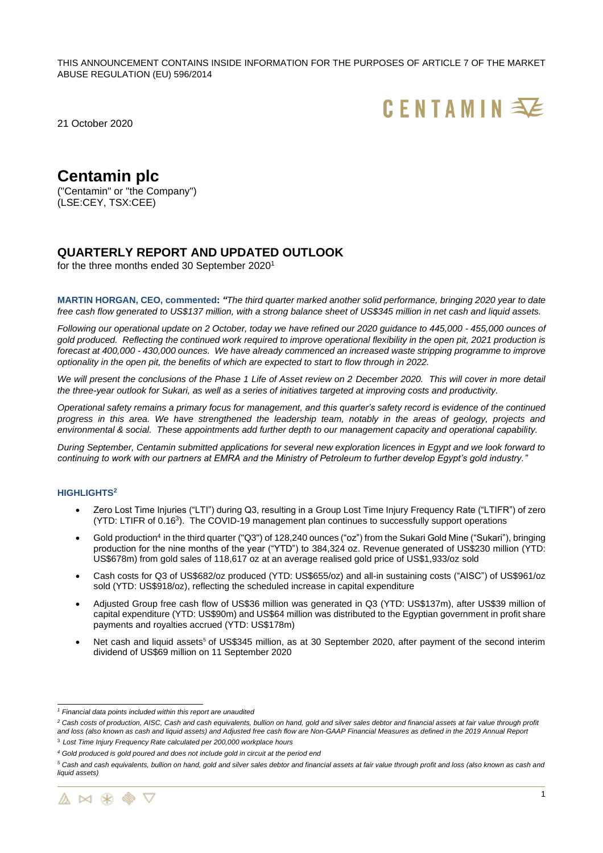THIS ANNOUNCEMENT CONTAINS INSIDE INFORMATION FOR THE PURPOSES OF ARTICLE 7 OF THE MARKET ABUSE REGULATION (EU) 596/2014



21 October 2020

# **Centamin plc**

("Centamin" or "the Company") (LSE:CEY, TSX:CEE)

# **QUARTERLY REPORT AND UPDATED OUTLOOK**

for the three months ended 30 September 2020<sup>1</sup>

**MARTIN HORGAN, CEO, commented:** *"The third quarter marked another solid performance, bringing 2020 year to date* free cash flow generated to US\$137 million, with a strong balance sheet of US\$345 million in net cash and liquid assets.

*Following our operational update on 2 October, today we have refined our 2020 guidance to 445,000 - 455,000 ounces of gold produced. Reflecting the continued work required to improve operational flexibility in the open pit, 2021 production is forecast at 400,000 - 430,000 ounces. We have already commenced an increased waste stripping programme to improve optionality in the open pit, the benefits of which are expected to start to flow through in 2022.*

*We will present the conclusions of the Phase 1 Life of Asset review on 2 December 2020. This will cover in more detail the three-year outlook for Sukari, as well as a series of initiatives targeted at improving costs and productivity.*

*Operational safety remains a primary focus for management, and this quarter's safety record is evidence of the continued progress in this area. We have strengthened the leadership team, notably in the areas of geology, projects and environmental & social. These appointments add further depth to our management capacity and operational capability.* 

*During September, Centamin submitted applications for several new exploration licences in Egypt and we look forward to continuing to work with our partners at EMRA and the Ministry of Petroleum to further develop Egypt's gold industry."*

## **HIGHLIGHTS<sup>2</sup>**

- Zero Lost Time Injuries ("LTI") during Q3, resulting in a Group Lost Time Injury Frequency Rate ("LTIFR") of zero (YTD: LTIFR of 0.16<sup>3</sup> ). The COVID-19 management plan continues to successfully support operations
- Gold production<sup>4</sup> in the third quarter ("Q3") of 128,240 ounces ("oz") from the Sukari Gold Mine ("Sukari"), bringing production for the nine months of the year ("YTD") to 384,324 oz. Revenue generated of US\$230 million (YTD: US\$678m) from gold sales of 118,617 oz at an average realised gold price of US\$1,933/oz sold
- Cash costs for Q3 of US\$682/oz produced (YTD: US\$655/oz) and all-in sustaining costs ("AISC") of US\$961/oz sold (YTD: US\$918/oz), reflecting the scheduled increase in capital expenditure
- Adjusted Group free cash flow of US\$36 million was generated in Q3 (YTD: US\$137m), after US\$39 million of capital expenditure (YTD: US\$90m) and US\$64 million was distributed to the Egyptian government in profit share payments and royalties accrued (YTD: US\$178m)
- Net cash and liquid assets<sup>5</sup> of US\$345 million, as at 30 September 2020, after payment of the second interim dividend of US\$69 million on 11 September 2020

*<sup>5</sup> Cash and cash equivalents, bullion on hand, gold and silver sales debtor and financial assets at fair value through profit and loss (also known as cash and liquid assets)*



*<sup>1</sup> Financial data points included within this report are unaudited*

*<sup>2</sup> Cash costs of production, AISC, Cash and cash equivalents, bullion on hand, gold and silver sales debtor and financial assets at fair value through profit and loss (also known as cash and liquid assets) and Adjusted free cash flow are Non-GAAP Financial Measures as defined in the 2019 Annual Report*

<sup>3</sup> *Lost Time Injury Frequency Rate calculated per 200,000 workplace hours*

*<sup>4</sup> Gold produced is gold poured and does not include gold in circuit at the period end*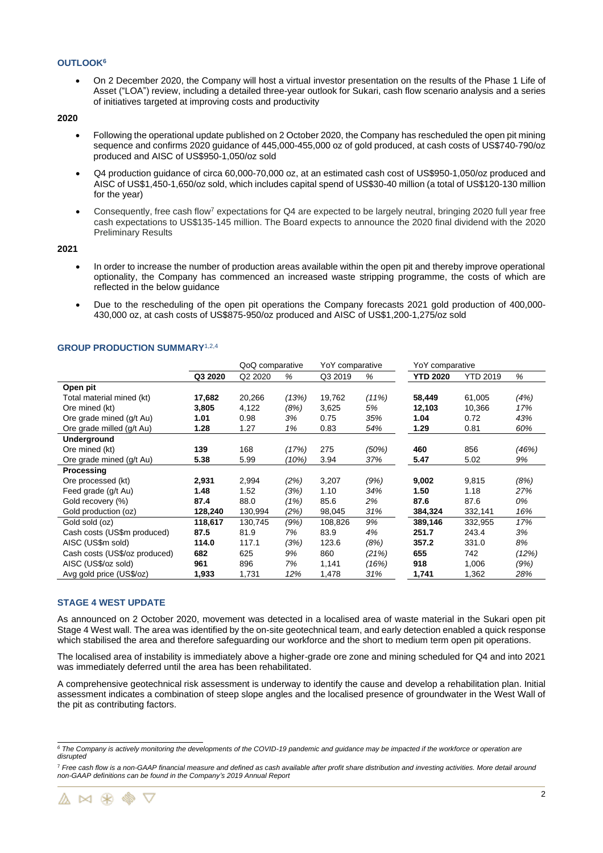## **OUTLOOK<sup>6</sup>**

• On 2 December 2020, the Company will host a virtual investor presentation on the results of the Phase 1 Life of Asset ("LOA") review, including a detailed three-year outlook for Sukari, cash flow scenario analysis and a series of initiatives targeted at improving costs and productivity

## **2020**

- Following the operational update published on 2 October 2020, the Company has rescheduled the open pit mining sequence and confirms 2020 guidance of 445,000-455,000 oz of gold produced, at cash costs of US\$740-790/oz produced and AISC of US\$950-1,050/oz sold
- Q4 production guidance of circa 60,000-70,000 oz, at an estimated cash cost of US\$950-1,050/oz produced and AISC of US\$1,450-1,650/oz sold, which includes capital spend of US\$30-40 million (a total of US\$120-130 million for the year)
- Consequently, free cash flow<sup>7</sup> expectations for Q4 are expected to be largely neutral, bringing 2020 full year free cash expectations to US\$135-145 million. The Board expects to announce the 2020 final dividend with the 2020 Preliminary Results

## **2021**

- In order to increase the number of production areas available within the open pit and thereby improve operational optionality, the Company has commenced an increased waste stripping programme, the costs of which are reflected in the below guidance
- Due to the rescheduling of the open pit operations the Company forecasts 2021 gold production of 400,000- 430,000 oz, at cash costs of US\$875-950/oz produced and AISC of US\$1,200-1,275/oz sold

|                               |         | QoQ comparative |       | YoY comparative |       | YoY comparative |                 |       |
|-------------------------------|---------|-----------------|-------|-----------------|-------|-----------------|-----------------|-------|
|                               | Q3 2020 | Q2 2020         | %     | Q3 2019         | %     | <b>YTD 2020</b> | <b>YTD 2019</b> | %     |
| Open pit                      |         |                 |       |                 |       |                 |                 |       |
| Total material mined (kt)     | 17,682  | 20,266          | (13%) | 19,762          | (11%) | 58,449          | 61,005          | (4%)  |
| Ore mined (kt)                | 3,805   | 4,122           | (8%)  | 3,625           | 5%    | 12,103          | 10,366          | 17%   |
| Ore grade mined (g/t Au)      | 1.01    | 0.98            | 3%    | 0.75            | 35%   | 1.04            | 0.72            | 43%   |
| Ore grade milled (g/t Au)     | 1.28    | 1.27            | 1%    | 0.83            | 54%   | 1.29            | 0.81            | 60%   |
| Underground                   |         |                 |       |                 |       |                 |                 |       |
| Ore mined (kt)                | 139     | 168             | (17%) | 275             | (50%) | 460             | 856             | (46%) |
| Ore grade mined (g/t Au)      | 5.38    | 5.99            | (10%) | 3.94            | 37%   | 5.47            | 5.02            | 9%    |
| Processing                    |         |                 |       |                 |       |                 |                 |       |
| Ore processed (kt)            | 2,931   | 2,994           | (2%)  | 3,207           | (9%)  | 9,002           | 9,815           | (8%)  |
| Feed grade (g/t Au)           | 1.48    | 1.52            | (3%)  | 1.10            | 34%   | 1.50            | 1.18            | 27%   |
| Gold recovery (%)             | 87.4    | 88.0            | (1%)  | 85.6            | 2%    | 87.6            | 87.6            | 0%    |
| Gold production (oz)          | 128,240 | 130,994         | (2%)  | 98,045          | 31%   | 384,324         | 332,141         | 16%   |
| Gold sold (oz)                | 118,617 | 130,745         | (9%)  | 108,826         | 9%    | 389,146         | 332,955         | 17%   |
| Cash costs (US\$m produced)   | 87.5    | 81.9            | 7%    | 83.9            | 4%    | 251.7           | 243.4           | 3%    |
| AISC (US\$m sold)             | 114.0   | 117.1           | (3%)  | 123.6           | (8%)  | 357.2           | 331.0           | 8%    |
| Cash costs (US\$/oz produced) | 682     | 625             | 9%    | 860             | (21%) | 655             | 742             | (12%) |
| AISC (US\$/oz sold)           | 961     | 896             | 7%    | 1,141           | (16%) | 918             | 1,006           | (9%)  |
| Avg gold price (US\$/oz)      | 1,933   | 1,731           | 12%   | 1,478           | 31%   | 1,741           | 1,362           | 28%   |

## **GROUP PRODUCTION SUMMARY**1,2,4

#### **STAGE 4 WEST UPDATE**

As announced on 2 October 2020, movement was detected in a localised area of waste material in the Sukari open pit Stage 4 West wall. The area was identified by the on-site geotechnical team, and early detection enabled a quick response which stabilised the area and therefore safeguarding our workforce and the short to medium term open pit operations.

The localised area of instability is immediately above a higher-grade ore zone and mining scheduled for Q4 and into 2021 was immediately deferred until the area has been rehabilitated.

A comprehensive geotechnical risk assessment is underway to identify the cause and develop a rehabilitation plan. Initial assessment indicates a combination of steep slope angles and the localised presence of groundwater in the West Wall of the pit as contributing factors.

<sup>7</sup> *Free cash flow is a non-GAAP financial measure and defined as cash available after profit share distribution and investing activities. More detail around non-GAAP definitions can be found in the Company's 2019 Annual Report*



*<sup>6</sup> The Company is actively monitoring the developments of the COVID-19 pandemic and guidance may be impacted if the workforce or operation are disrupted*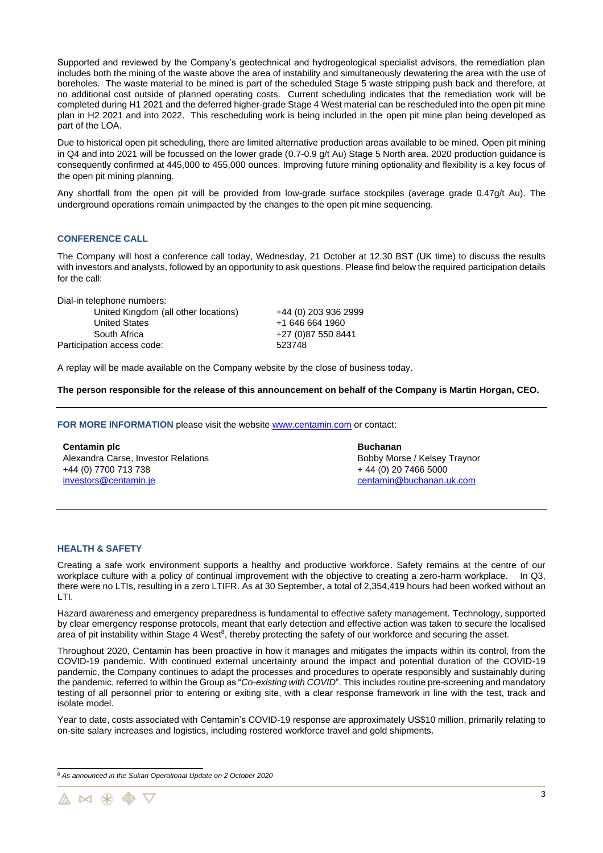Supported and reviewed by the Company's geotechnical and hydrogeological specialist advisors, the remediation plan includes both the mining of the waste above the area of instability and simultaneously dewatering the area with the use of boreholes. The waste material to be mined is part of the scheduled Stage 5 waste stripping push back and therefore, at no additional cost outside of planned operating costs. Current scheduling indicates that the remediation work will be completed during H1 2021 and the deferred higher-grade Stage 4 West material can be rescheduled into the open pit mine plan in H2 2021 and into 2022. This rescheduling work is being included in the open pit mine plan being developed as part of the LOA.

Due to historical open pit scheduling, there are limited alternative production areas available to be mined. Open pit mining in Q4 and into 2021 will be focussed on the lower grade (0.7-0.9 g/t Au) Stage 5 North area. 2020 production guidance is consequently confirmed at 445,000 to 455,000 ounces. Improving future mining optionality and flexibility is a key focus of the open pit mining planning.

Any shortfall from the open pit will be provided from low-grade surface stockpiles (average grade 0.47g/t Au). The underground operations remain unimpacted by the changes to the open pit mine sequencing.

## **CONFERENCE CALL**

The Company will host a conference call today, Wednesday, 21 October at 12.30 BST (UK time) to discuss the results with investors and analysts, followed by an opportunity to ask questions. Please find below the required participation details for the call:

Dial-in telephone numbers:

| United Kingdom (all other locations) | +44 (0) 203 936 2999 |
|--------------------------------------|----------------------|
| <b>United States</b>                 | +1 646 664 1960      |
| South Africa                         | +27 (0) 87 550 8441  |
| Participation access code:           | 523748               |
|                                      |                      |

A replay will be made available on the Company website by the close of business today.

**The person responsible for the release of this announcement on behalf of the Company is Martin Horgan, CEO.**

FOR MORE INFORMATION please visit the website **www.centamin.com** or contact:

**Centamin plc**  Alexandra Carse, Investor Relations +44 (0) 7700 713 738 [investors@centamin.je](mailto:investors@centamin.je)

**Buchanan** Bobby Morse / Kelsey Traynor + 44 (0) 20 7466 5000 [centamin@buchanan.uk.com](mailto:centamin@buchanan.uk.com)

## **HEALTH & SAFETY**

Creating a safe work environment supports a healthy and productive workforce. Safety remains at the centre of our workplace culture with a policy of continual improvement with the objective to creating a zero-harm workplace. In Q3, there were no LTIs, resulting in a zero LTIFR. As at 30 September, a total of 2,354,419 hours had been worked without an LTI.

Hazard awareness and emergency preparedness is fundamental to effective safety management. Technology, supported by clear emergency response protocols, meant that early detection and effective action was taken to secure the localised area of pit instability within Stage 4 West $8$ , thereby protecting the safety of our workforce and securing the asset.

Throughout 2020, Centamin has been proactive in how it manages and mitigates the impacts within its control, from the COVID-19 pandemic. With continued external uncertainty around the impact and potential duration of the COVID-19 pandemic, the Company continues to adapt the processes and procedures to operate responsibly and sustainably during the pandemic, referred to within the Group as "*Co-existing with COVID*". This includes routine pre-screening and mandatory testing of all personnel prior to entering or exiting site, with a clear response framework in line with the test, track and isolate model.

Year to date, costs associated with Centamin's COVID-19 response are approximately US\$10 million, primarily relating to on-site salary increases and logistics, including rostered workforce travel and gold shipments.

<sup>8</sup> *As announced in the Sukari Operational Update on 2 October 2020*

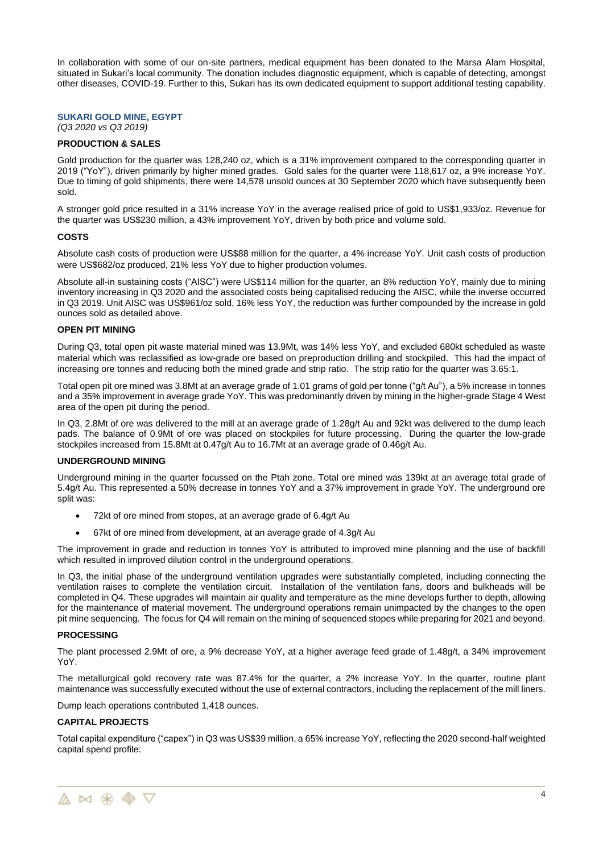In collaboration with some of our on-site partners, medical equipment has been donated to the Marsa Alam Hospital, situated in Sukari's local community. The donation includes diagnostic equipment, which is capable of detecting, amongst other diseases, COVID-19. Further to this, Sukari has its own dedicated equipment to support additional testing capability.

## **SUKARI GOLD MINE, EGYPT**

*(Q3 2020 vs Q3 2019)*

## **PRODUCTION & SALES**

Gold production for the quarter was 128,240 oz, which is a 31% improvement compared to the corresponding quarter in 2019 ("YoY"), driven primarily by higher mined grades. Gold sales for the quarter were 118,617 oz, a 9% increase YoY. Due to timing of gold shipments, there were 14,578 unsold ounces at 30 September 2020 which have subsequently been sold.

A stronger gold price resulted in a 31% increase YoY in the average realised price of gold to US\$1,933/oz. Revenue for the quarter was US\$230 million, a 43% improvement YoY, driven by both price and volume sold.

#### **COSTS**

Absolute cash costs of production were US\$88 million for the quarter, a 4% increase YoY. Unit cash costs of production were US\$682/oz produced, 21% less YoY due to higher production volumes.

Absolute all-in sustaining costs ("AISC") were US\$114 million for the quarter, an 8% reduction YoY, mainly due to mining inventory increasing in Q3 2020 and the associated costs being capitalised reducing the AISC, while the inverse occurred in Q3 2019. Unit AISC was US\$961/oz sold, 16% less YoY, the reduction was further compounded by the increase in gold ounces sold as detailed above.

## **OPEN PIT MINING**

During Q3, total open pit waste material mined was 13.9Mt, was 14% less YoY, and excluded 680kt scheduled as waste material which was reclassified as low-grade ore based on preproduction drilling and stockpiled. This had the impact of increasing ore tonnes and reducing both the mined grade and strip ratio. The strip ratio for the quarter was 3.65:1.

Total open pit ore mined was 3.8Mt at an average grade of 1.01 grams of gold per tonne ("g/t Au"), a 5% increase in tonnes and a 35% improvement in average grade YoY. This was predominantly driven by mining in the higher-grade Stage 4 West area of the open pit during the period.

In Q3, 2.8Mt of ore was delivered to the mill at an average grade of 1.28g/t Au and 92kt was delivered to the dump leach pads. The balance of 0.9Mt of ore was placed on stockpiles for future processing. During the quarter the low-grade stockpiles increased from 15.8Mt at 0.47g/t Au to 16.7Mt at an average grade of 0.46g/t Au.

#### **UNDERGROUND MINING**

Underground mining in the quarter focussed on the Ptah zone. Total ore mined was 139kt at an average total grade of 5.4g/t Au. This represented a 50% decrease in tonnes YoY and a 37% improvement in grade YoY. The underground ore split was:

- 72kt of ore mined from stopes, at an average grade of 6.4g/t Au
- 67kt of ore mined from development, at an average grade of 4.3g/t Au

The improvement in grade and reduction in tonnes YoY is attributed to improved mine planning and the use of backfill which resulted in improved dilution control in the underground operations.

In Q3, the initial phase of the underground ventilation upgrades were substantially completed, including connecting the ventilation raises to complete the ventilation circuit. Installation of the ventilation fans, doors and bulkheads will be completed in Q4. These upgrades will maintain air quality and temperature as the mine develops further to depth, allowing for the maintenance of material movement. The underground operations remain unimpacted by the changes to the open pit mine sequencing. The focus for Q4 will remain on the mining of sequenced stopes while preparing for 2021 and beyond.

#### **PROCESSING**

The plant processed 2.9Mt of ore, a 9% decrease YoY, at a higher average feed grade of 1.48g/t, a 34% improvement YoY.

The metallurgical gold recovery rate was 87.4% for the quarter, a 2% increase YoY. In the quarter, routine plant maintenance was successfully executed without the use of external contractors, including the replacement of the mill liners.

Dump leach operations contributed 1,418 ounces.

#### **CAPITAL PROJECTS**

Total capital expenditure ("capex") in Q3 was US\$39 million, a 65% increase YoY, reflecting the 2020 second-half weighted capital spend profile: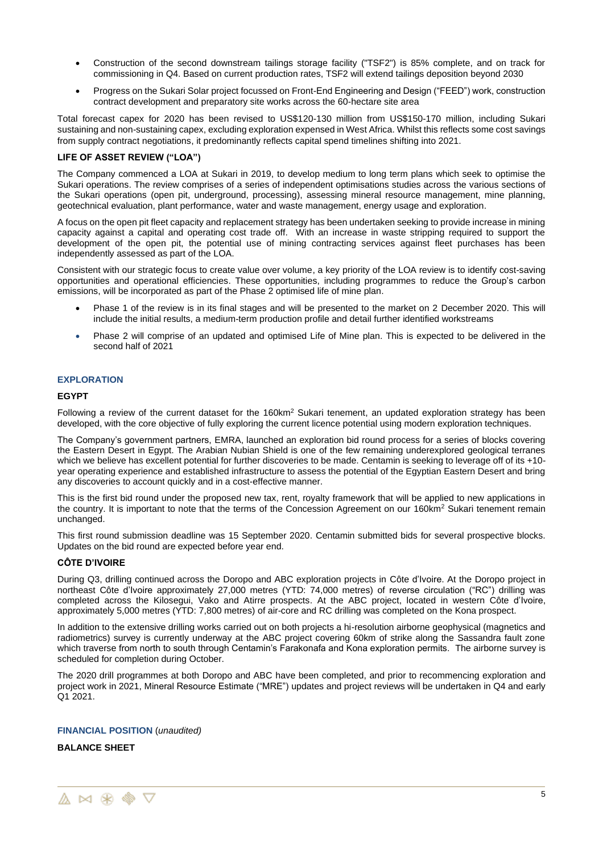- Construction of the second downstream tailings storage facility ("TSF2") is 85% complete, and on track for commissioning in Q4. Based on current production rates, TSF2 will extend tailings deposition beyond 2030
- Progress on the Sukari Solar project focussed on Front-End Engineering and Design ("FEED") work, construction contract development and preparatory site works across the 60-hectare site area

Total forecast capex for 2020 has been revised to US\$120-130 million from US\$150-170 million, including Sukari sustaining and non-sustaining capex, excluding exploration expensed in West Africa. Whilst this reflects some cost savings from supply contract negotiations, it predominantly reflects capital spend timelines shifting into 2021.

## **LIFE OF ASSET REVIEW ("LOA")**

The Company commenced a LOA at Sukari in 2019, to develop medium to long term plans which seek to optimise the Sukari operations. The review comprises of a series of independent optimisations studies across the various sections of the Sukari operations (open pit, underground, processing), assessing mineral resource management, mine planning, geotechnical evaluation, plant performance, water and waste management, energy usage and exploration.

A focus on the open pit fleet capacity and replacement strategy has been undertaken seeking to provide increase in mining capacity against a capital and operating cost trade off. With an increase in waste stripping required to support the development of the open pit, the potential use of mining contracting services against fleet purchases has been independently assessed as part of the LOA.

Consistent with our strategic focus to create value over volume, a key priority of the LOA review is to identify cost-saving opportunities and operational efficiencies. These opportunities, including programmes to reduce the Group's carbon emissions, will be incorporated as part of the Phase 2 optimised life of mine plan.

- Phase 1 of the review is in its final stages and will be presented to the market on 2 December 2020. This will include the initial results, a medium-term production profile and detail further identified workstreams
- Phase 2 will comprise of an updated and optimised Life of Mine plan. This is expected to be delivered in the second half of 2021

## **EXPLORATION**

## **EGYPT**

Following a review of the current dataset for the 160km<sup>2</sup> Sukari tenement, an updated exploration strategy has been developed, with the core objective of fully exploring the current licence potential using modern exploration techniques.

The Company's government partners, EMRA, launched an exploration bid round process for a series of blocks covering the Eastern Desert in Egypt. The Arabian Nubian Shield is one of the few remaining underexplored geological terranes which we believe has excellent potential for further discoveries to be made. Centamin is seeking to leverage off of its +10year operating experience and established infrastructure to assess the potential of the Egyptian Eastern Desert and bring any discoveries to account quickly and in a cost-effective manner.

This is the first bid round under the proposed new tax, rent, royalty framework that will be applied to new applications in the country. It is important to note that the terms of the Concession Agreement on our 160km<sup>2</sup> Sukari tenement remain unchanged.

This first round submission deadline was 15 September 2020. Centamin submitted bids for several prospective blocks. Updates on the bid round are expected before year end.

## **CÔTE D'IVOIRE**

During Q3, drilling continued across the Doropo and ABC exploration projects in Côte d'Ivoire. At the Doropo project in northeast Côte d'Ivoire approximately 27,000 metres (YTD: 74,000 metres) of reverse circulation ("RC") drilling was completed across the Kilosegui, Vako and Atirre prospects. At the ABC project, located in western Côte d'Ivoire, approximately 5,000 metres (YTD: 7,800 metres) of air-core and RC drilling was completed on the Kona prospect.

In addition to the extensive drilling works carried out on both projects a hi-resolution airborne geophysical (magnetics and radiometrics) survey is currently underway at the ABC project covering 60km of strike along the Sassandra fault zone which traverse from north to south through Centamin's Farakonafa and Kona exploration permits. The airborne survey is scheduled for completion during October.

The 2020 drill programmes at both Doropo and ABC have been completed, and prior to recommencing exploration and project work in 2021, Mineral Resource Estimate ("MRE") updates and project reviews will be undertaken in Q4 and early Q1 2021.

## **FINANCIAL POSITION** (*unaudited)*

## **BALANCE SHEET**